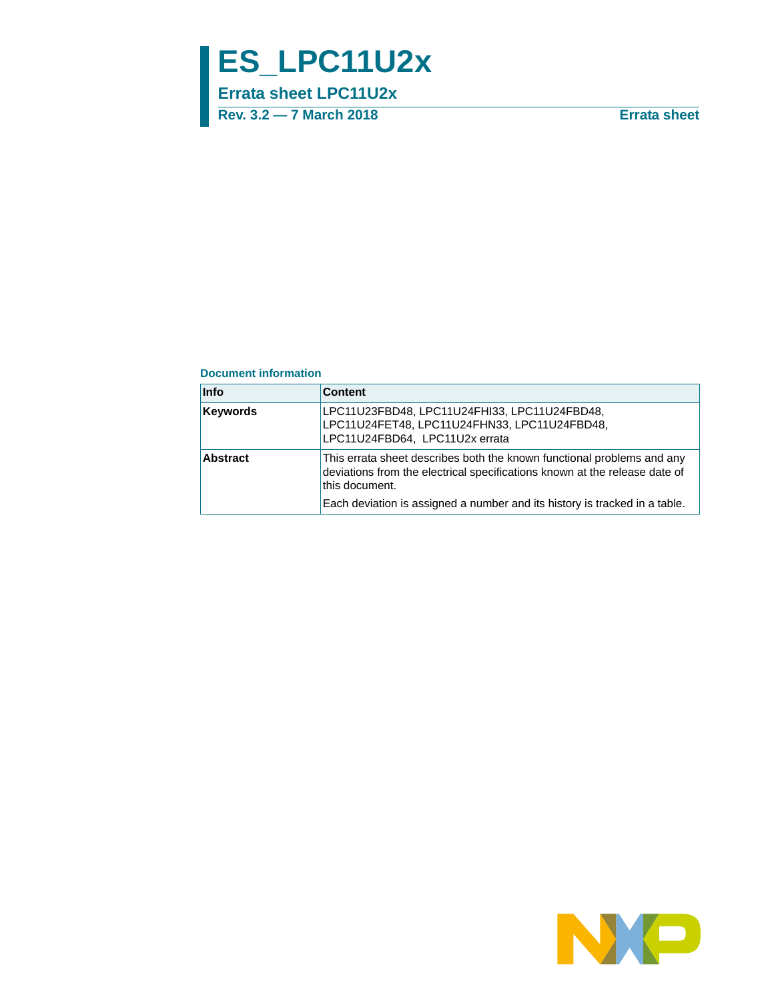# **ES\_LPC11U2x**

**Errata sheet LPC11U2x**

**Rev. 3.2 — 7 March 2018 Errata sheet**

#### **Document information**

| <b>Info</b>     | <b>Content</b>                                                                                                                                                                                                                                       |
|-----------------|------------------------------------------------------------------------------------------------------------------------------------------------------------------------------------------------------------------------------------------------------|
| <b>Keywords</b> | LPC11U23FBD48, LPC11U24FHI33, LPC11U24FBD48,<br>LPC11U24FET48, LPC11U24FHN33, LPC11U24FBD48,<br>LPC11U24FBD64, LPC11U2x errata                                                                                                                       |
| <b>Abstract</b> | This errata sheet describes both the known functional problems and any<br>deviations from the electrical specifications known at the release date of<br>this document.<br>Each deviation is assigned a number and its history is tracked in a table. |

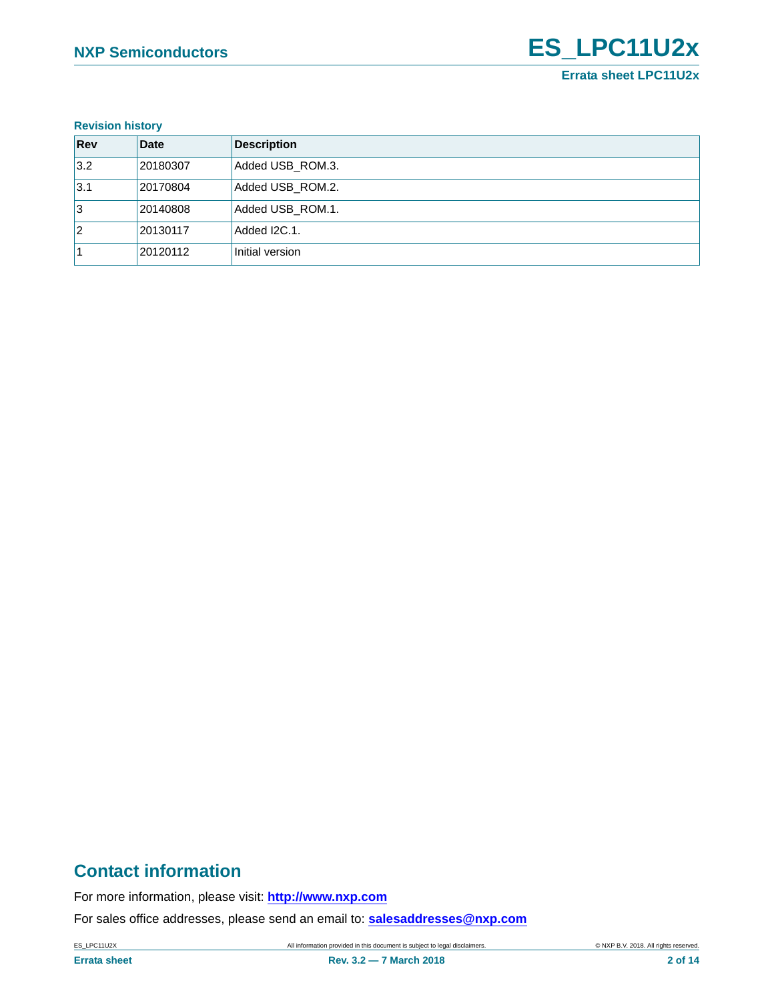#### **Revision history**

| Rev | <b>Date</b> | <b>Description</b> |
|-----|-------------|--------------------|
| 3.2 | 20180307    | Added USB_ROM.3.   |
| 3.1 | 20170804    | Added USB_ROM.2.   |
| 1з  | 20140808    | Added USB ROM.1.   |
| 12  | 20130117    | Added I2C.1.       |
|     | 20120112    | Initial version    |

# **Contact information**

For more information, please visit: **http://www.nxp.com**

For sales office addresses, please send an email to: **salesaddresses@nxp.com**

ES\_LPC11U2X **All information provided in this document is subject to legal disclaimers.** © NXP B.V. 2018. All rights reserved.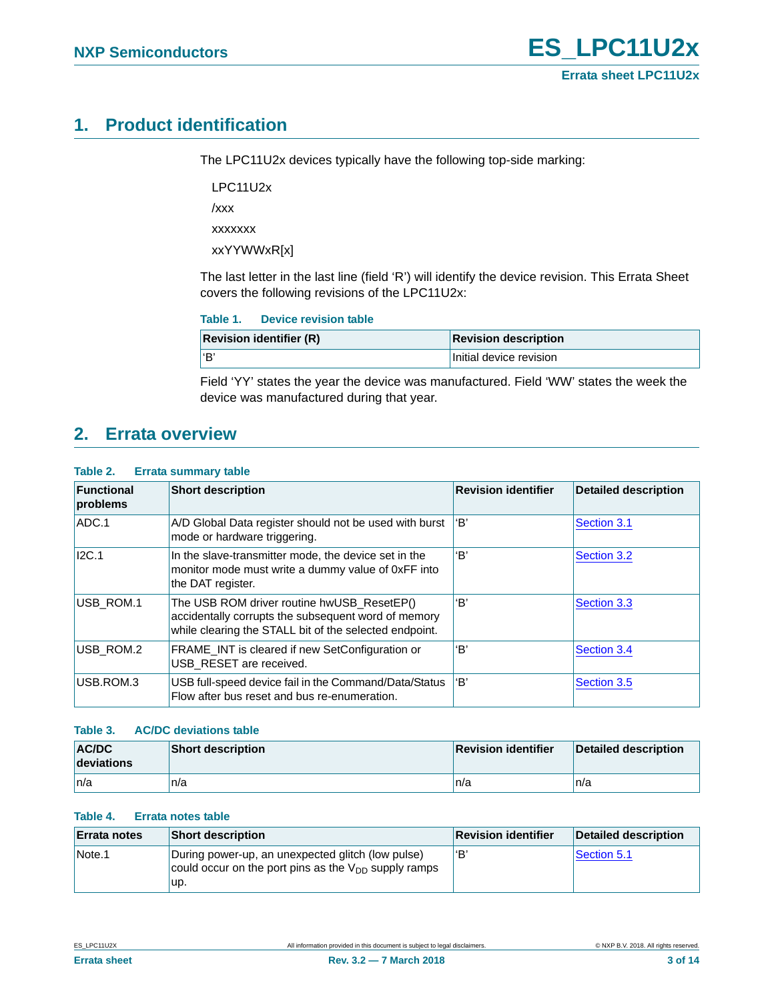# <span id="page-2-0"></span>**1. Product identification**

The LPC11U2x devices typically have the following top-side marking:

LPC11U2x

/xxx

xxxxxxx

xxYYWWxR[x]

The last letter in the last line (field 'R') will identify the device revision. This Errata Sheet covers the following revisions of the LPC11U2x:

| <b>Revision identifier (R)</b> | <b>Revision description</b> |
|--------------------------------|-----------------------------|
| l'B                            | Initial device revision     |

Field 'YY' states the year the device was manufactured. Field 'WW' states the week the device was manufactured during that year.

# <span id="page-2-1"></span>**2. Errata overview**

#### **Table 2. Errata summary table**

| <b>Functional</b><br>problems | <b>Short description</b>                                                                                                                                    | <b>Revision identifier</b> | <b>Detailed description</b> |
|-------------------------------|-------------------------------------------------------------------------------------------------------------------------------------------------------------|----------------------------|-----------------------------|
| ADC.1                         | A/D Global Data register should not be used with burst<br>mode or hardware triggering.                                                                      | 'B'                        | Section 3.1                 |
| I2C.1                         | In the slave-transmitter mode, the device set in the<br>monitor mode must write a dummy value of 0xFF into<br>the DAT register.                             | 'B'                        | Section 3.2                 |
| USB ROM.1                     | The USB ROM driver routine hwUSB ResetEP()<br>accidentally corrupts the subsequent word of memory<br>while clearing the STALL bit of the selected endpoint. | 'B'                        | Section 3.3                 |
| USB ROM.2                     | FRAME_INT is cleared if new SetConfiguration or<br>USB RESET are received.                                                                                  | 'B'                        | Section 3.4                 |
| USB.ROM.3                     | USB full-speed device fail in the Command/Data/Status<br>Flow after bus reset and bus re-enumeration.                                                       | 'B'                        | Section 3.5                 |

#### **Table 3. AC/DC deviations table**

| <b>AC/DC</b><br>deviations | <b>Short description</b> | <b>Revision identifier</b> | <b>Detailed description</b> |
|----------------------------|--------------------------|----------------------------|-----------------------------|
| ∣n/a                       | n/a                      | n/a                        | n/a                         |

#### **Table 4. Errata notes table**

| <b>Errata notes</b> | <b>Short description</b>                                                                                              | <b>Revision identifier</b> | Detailed description |
|---------------------|-----------------------------------------------------------------------------------------------------------------------|----------------------------|----------------------|
| Note.1              | During power-up, an unexpected glitch (low pulse)<br>could occur on the port pins as the $V_{DD}$ supply ramps<br>up. | ʻBʻ                        | Section 5.1          |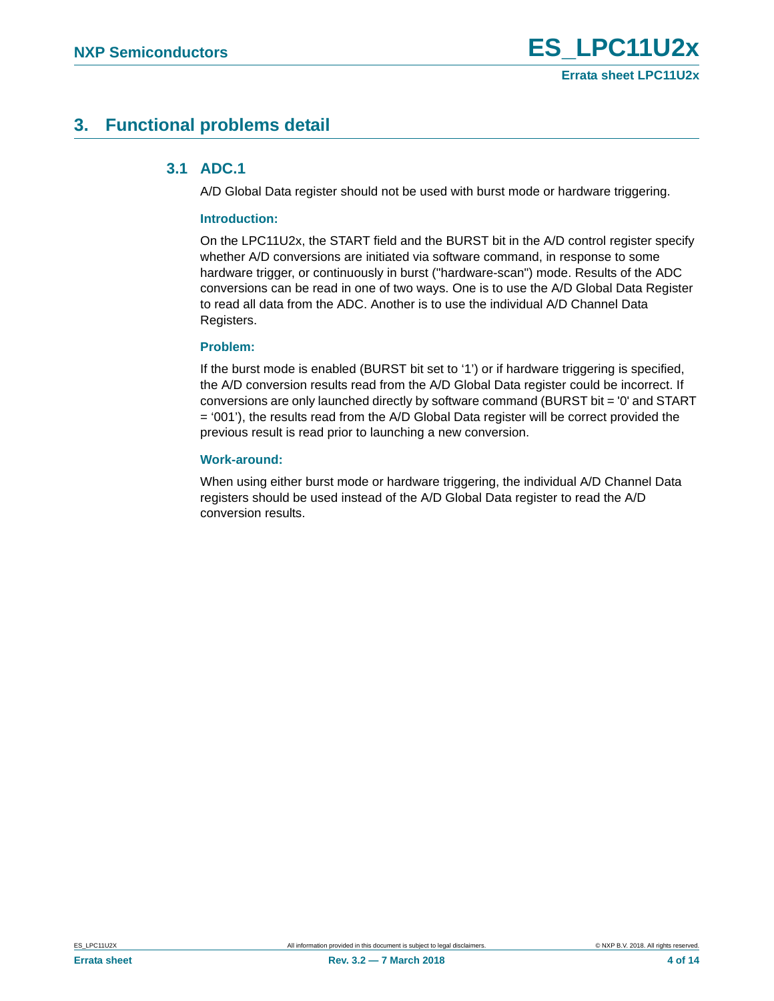# <span id="page-3-1"></span><span id="page-3-0"></span>**3. Functional problems detail**

### **3.1 ADC.1**

A/D Global Data register should not be used with burst mode or hardware triggering.

#### **Introduction:**

On the LPC11U2x, the START field and the BURST bit in the A/D control register specify whether A/D conversions are initiated via software command, in response to some hardware trigger, or continuously in burst ("hardware-scan") mode. Results of the ADC conversions can be read in one of two ways. One is to use the A/D Global Data Register to read all data from the ADC. Another is to use the individual A/D Channel Data Registers.

#### **Problem:**

If the burst mode is enabled (BURST bit set to '1') or if hardware triggering is specified, the A/D conversion results read from the A/D Global Data register could be incorrect. If conversions are only launched directly by software command (BURST bit = '0' and START = '001'), the results read from the A/D Global Data register will be correct provided the previous result is read prior to launching a new conversion.

#### **Work-around:**

When using either burst mode or hardware triggering, the individual A/D Channel Data registers should be used instead of the A/D Global Data register to read the A/D conversion results.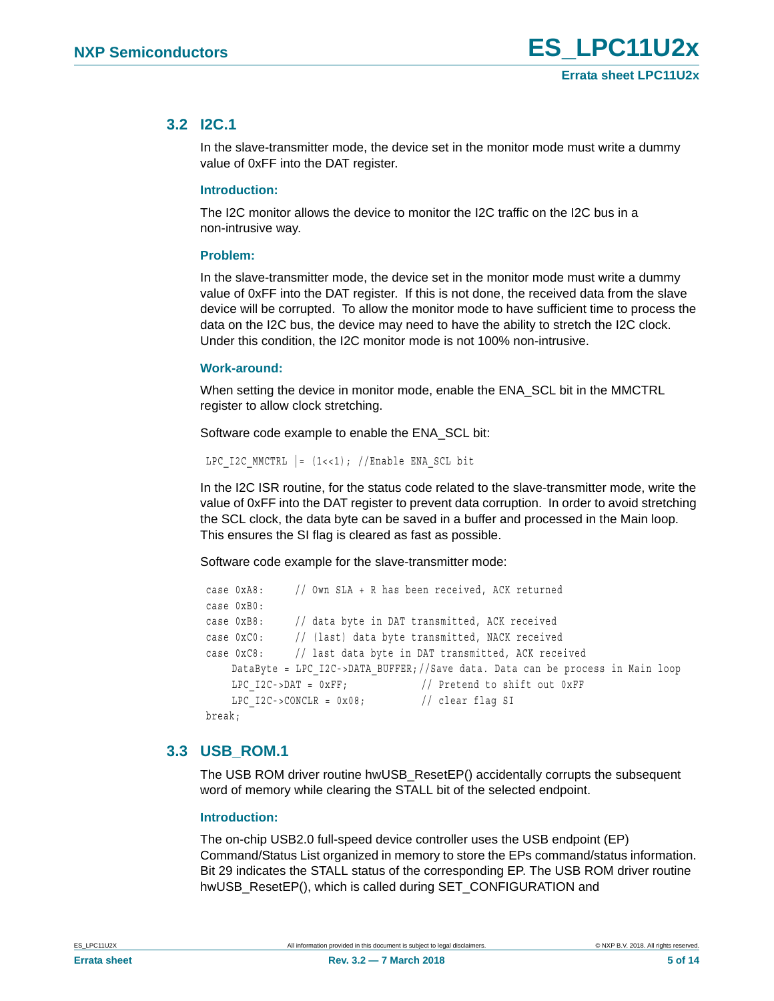### <span id="page-4-0"></span>**3.2 I2C.1**

In the slave-transmitter mode, the device set in the monitor mode must write a dummy value of 0xFF into the DAT register.

#### **Introduction:**

The I2C monitor allows the device to monitor the I2C traffic on the I2C bus in a non-intrusive way.

#### **Problem:**

In the slave-transmitter mode, the device set in the monitor mode must write a dummy value of 0xFF into the DAT register. If this is not done, the received data from the slave device will be corrupted. To allow the monitor mode to have sufficient time to process the data on the I2C bus, the device may need to have the ability to stretch the I2C clock. Under this condition, the I2C monitor mode is not 100% non-intrusive.

#### **Work-around:**

When setting the device in monitor mode, enable the ENA\_SCL bit in the MMCTRL register to allow clock stretching.

Software code example to enable the ENA\_SCL bit:

LPC I2C MMCTRL  $| = (1 \lt \lt 1);$  //Enable ENA SCL bit

In the I2C ISR routine, for the status code related to the slave-transmitter mode, write the value of 0xFF into the DAT register to prevent data corruption. In order to avoid stretching the SCL clock, the data byte can be saved in a buffer and processed in the Main loop. This ensures the SI flag is cleared as fast as possible.

Software code example for the slave-transmitter mode:

```
 case 0xA8: // Own SLA + R has been received, ACK returned 
 case 0xB0:
 case 0xB8: // data byte in DAT transmitted, ACK received
 case 0xC0: // (last) data byte transmitted, NACK received
 case 0xC8: // last data byte in DAT transmitted, ACK received
    DataByte = LPC_I2C->DATA_BUFFER;//Save data. Data can be process in Main loop
    LPC I2C->DAT = 0xFF; // Pretend to shift out 0xFF
    LPC I2C->CONCLR = 0x08; // clear flag SI
 break;
```
### <span id="page-4-1"></span>**3.3 USB\_ROM.1**

The USB ROM driver routine hwUSB\_ResetEP() accidentally corrupts the subsequent word of memory while clearing the STALL bit of the selected endpoint.

#### **Introduction:**

The on-chip USB2.0 full-speed device controller uses the USB endpoint (EP) Command/Status List organized in memory to store the EPs command/status information. Bit 29 indicates the STALL status of the corresponding EP. The USB ROM driver routine hwUSB\_ResetEP(), which is called during SET\_CONFIGURATION and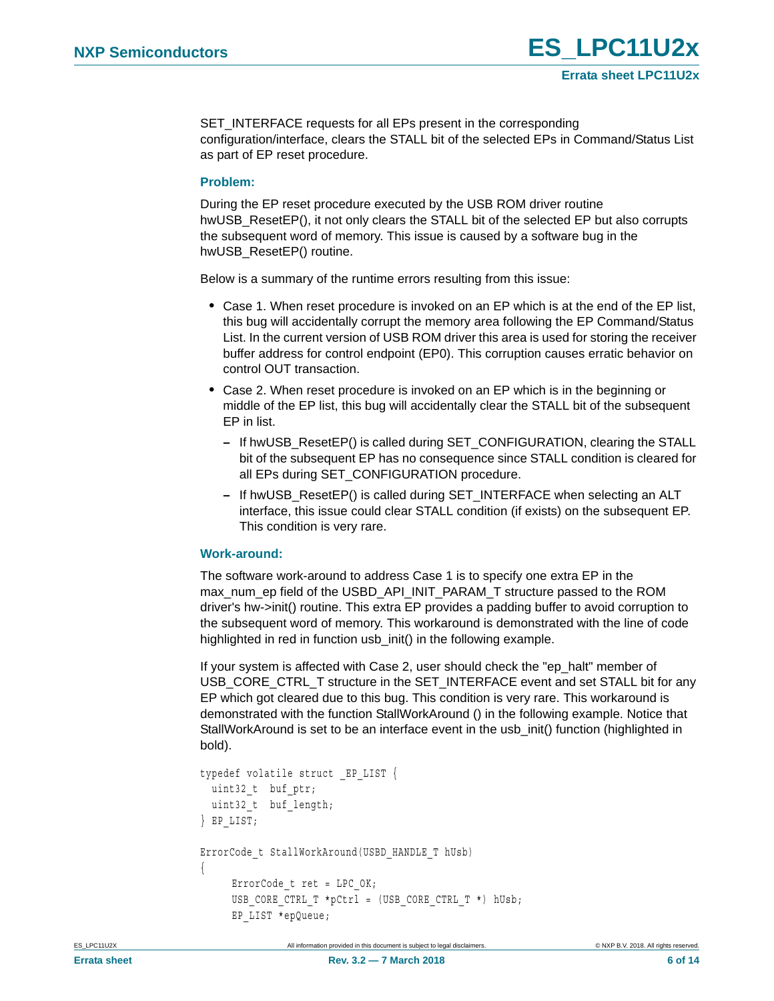SET\_INTERFACE requests for all EPs present in the corresponding configuration/interface, clears the STALL bit of the selected EPs in Command/Status List as part of EP reset procedure.

#### **Problem:**

During the EP reset procedure executed by the USB ROM driver routine hwUSB ResetEP(), it not only clears the STALL bit of the selected EP but also corrupts the subsequent word of memory. This issue is caused by a software bug in the hwUSB\_ResetEP() routine.

Below is a summary of the runtime errors resulting from this issue:

- **•** Case 1. When reset procedure is invoked on an EP which is at the end of the EP list, this bug will accidentally corrupt the memory area following the EP Command/Status List. In the current version of USB ROM driver this area is used for storing the receiver buffer address for control endpoint (EP0). This corruption causes erratic behavior on control OUT transaction.
- **•** Case 2. When reset procedure is invoked on an EP which is in the beginning or middle of the EP list, this bug will accidentally clear the STALL bit of the subsequent EP in list.
	- **–** If hwUSB\_ResetEP() is called during SET\_CONFIGURATION, clearing the STALL bit of the subsequent EP has no consequence since STALL condition is cleared for all EPs during SET\_CONFIGURATION procedure.
	- **–** If hwUSB\_ResetEP() is called during SET\_INTERFACE when selecting an ALT interface, this issue could clear STALL condition (if exists) on the subsequent EP. This condition is very rare.

#### **Work-around:**

The software work-around to address Case 1 is to specify one extra EP in the max\_num\_ep field of the USBD\_API\_INIT\_PARAM\_T structure passed to the ROM driver's hw->init() routine. This extra EP provides a padding buffer to avoid corruption to the subsequent word of memory. This workaround is demonstrated with the line of code highlighted in red in function usb\_init() in the following example.

If your system is affected with Case 2, user should check the "ep\_halt" member of USB\_CORE\_CTRL\_T structure in the SET\_INTERFACE event and set STALL bit for any EP which got cleared due to this bug. This condition is very rare. This workaround is demonstrated with the function StallWorkAround () in the following example. Notice that StallWorkAround is set to be an interface event in the usb\_init() function (highlighted in bold).

```
typedef volatile struct _EP_LIST {
 uint32 t buf ptr;
 uint32 t buf length;
} EP_LIST;
ErrorCode_t StallWorkAround(USBD_HANDLE_T hUsb)
{
     ErrorCode t ret = LPC OK;
     USB CORE CTRL T *pCtrl = (USB CORE CTRL T *) hUsb;
      EP_LIST *epQueue;
```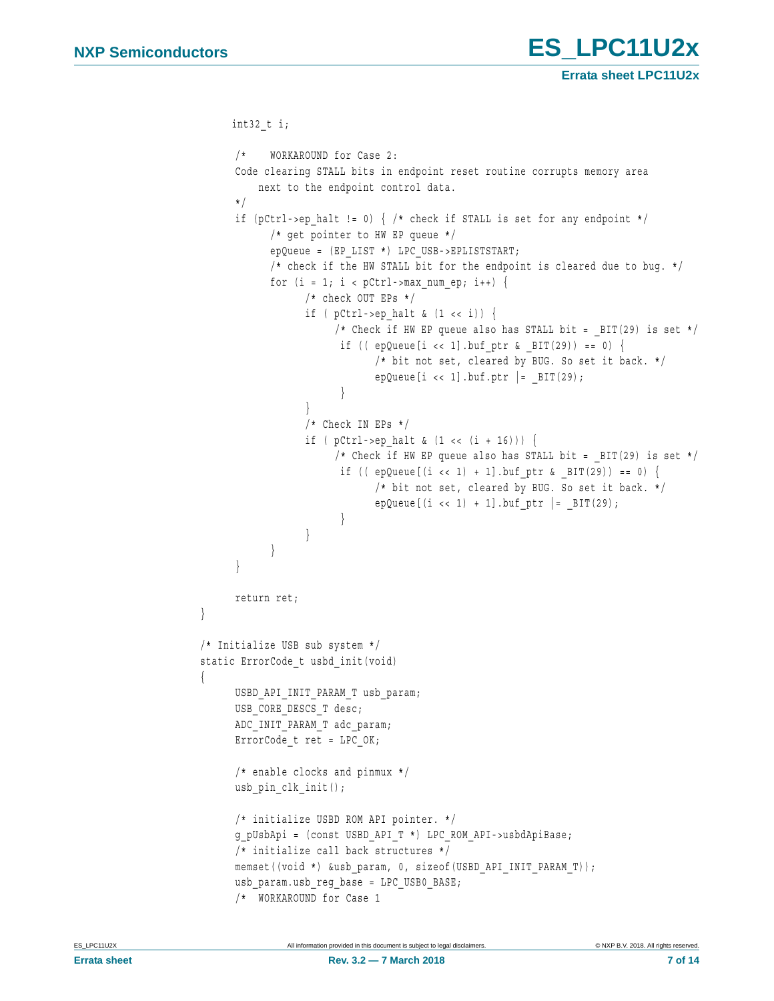**Errata sheet LPC11U2x**

```
 int32_t i;
      /* WORKAROUND for Case 2:
      Code clearing STALL bits in endpoint reset routine corrupts memory area
          next to the endpoint control data.
      */
     if (pCtrl->ep_halt != 0) { /* check if STALL is set for any endpoint */
            /* get pointer to HW EP queue */
            epQueue = (EP_LIST *) LPC_USB->EPLISTSTART;
           /* check if the HW STALL bit for the endpoint is cleared due to bug. */for (i = 1; i < pCtrl->max num ep; i++) {
                  /* check OUT EPs */
                 if ( pCtrl->ep halt & (1 \lt t)) {
                      /* Check if HW EP queue also has STALL bit = BIT(29) is set */
                       if (( epQueue[i \lt\lt 1] .buf\_ptr \& _BIT(29)) == 0) {
                             /* bit not set, cleared by BUG. So set it back. */
                            epQueue[i << 1].buf.ptr | = BIT(29);
 }
}
                  /* Check IN EPs */
                 if ( pCtrl->ep halt & (1 \lt k (i + 16))) {
                      /* Check if HW EP queue also has STALL bit = BIT(29) is set */
                       if ((epQueue[(i < 1) + 1].buffer & BIT(29)) == 0) /* bit not set, cleared by BUG. So set it back. */
                            epQueue[(i << 1) + 1].buf ptr | = BIT(29);
}
}
}
      }
      return ret;
}
/* Initialize USB sub system */
static ErrorCode t usbd init(void)
{
     USBD_API_INIT_PARAM_T_usb_param;
     USB_CORE_DESCS_T_desc;
     ADC_INIT_PARAM_T adc_param;
     ErrorCode t ret = LPC OK;
      /* enable clocks and pinmux */
     usb pin clk init();
      /* initialize USBD ROM API pointer. */
      g_pUsbApi = (const USBD_API_T *) LPC_ROM_API->usbdApiBase;
      /* initialize call back structures */
     memset((void *) &usb_param, 0, sizeof(USBD_API_INIT_PARAM_T));
      usb_param.usb_reg_base = LPC_USB0_BASE;
      /* WORKAROUND for Case 1
```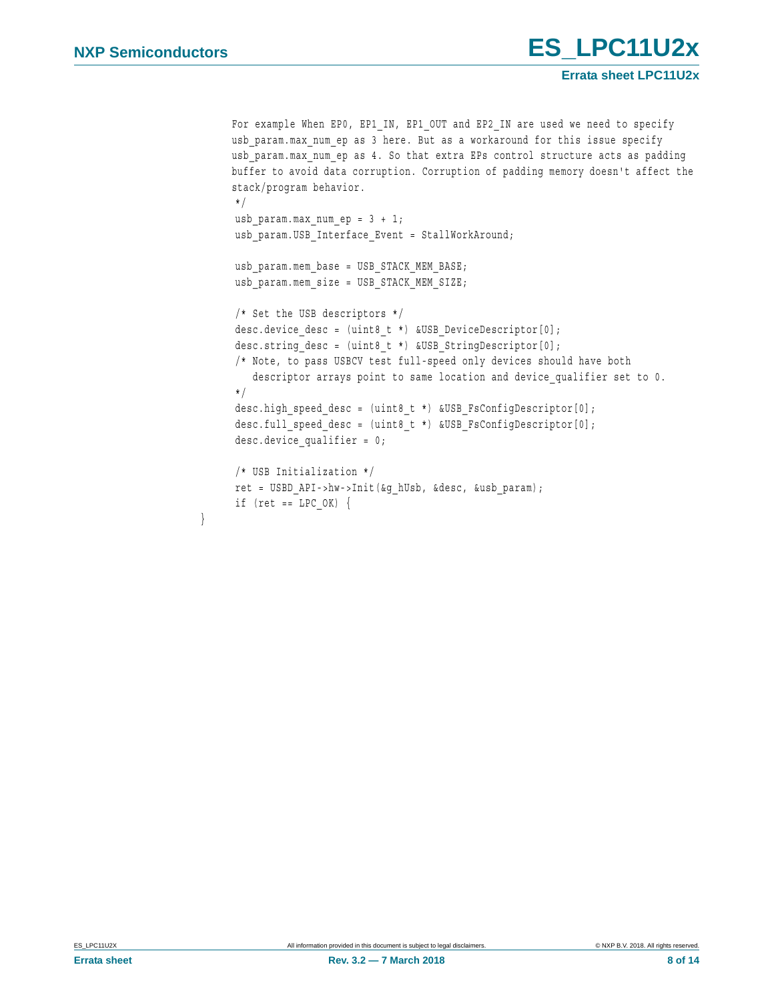}

```
For example When EP0, EP1_IN, EP1_OUT and EP2_IN are used we need to specify
usb param.max num ep as 3 here. But as a workaround for this issue specify
usb param.max num ep as 4. So that extra EPs control structure acts as padding
buffer to avoid data corruption. Corruption of padding memory doesn't affect the 
stack/program behavior.
 */
usb param.max num ep = 3 + 1;
 usb_param.USB_Interface_Event = StallWorkAround;
usb param.mem base = USB STACK MEM BASE;
usb param.mem size = USB STACK MEM SIZE;
 /* Set the USB descriptors */
desc.device desc = (uint8 t *) &USB DeviceDescriptor[0];
 desc.string_desc = (uint8_t *) &USB_StringDescriptor[0];
 /* Note, to pass USBCV test full-speed only devices should have both
   descriptor arrays point to same location and device qualifier set to 0.
 */
 desc.high_speed_desc = (uint8_t *) &USB_FsConfigDescriptor[0];
desc.full speed desc = (uint8 t *) &USB FsConfigDescriptor[0];
desc.device qualifier = 0;
 /* USB Initialization */
 ret = USBD_API->hw->Init(&g_hUsb, &desc, &usb_param);
if (ret == LPC OK) \{
```
**Errata sheet LPC11U2x**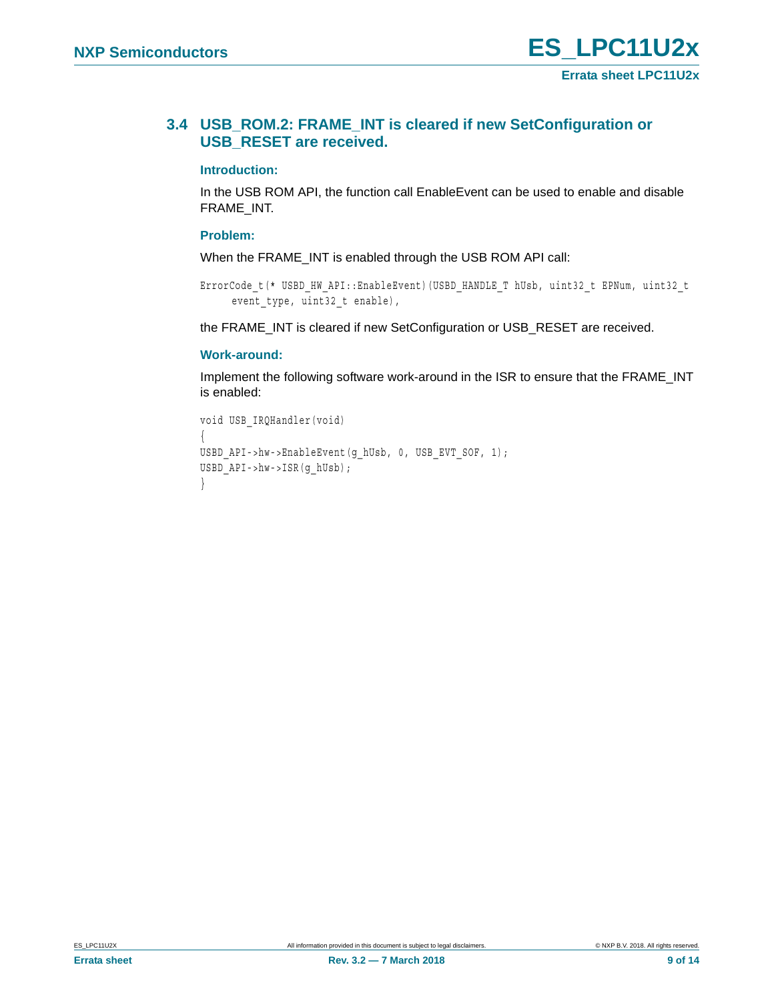### <span id="page-8-0"></span>**3.4 USB\_ROM.2: FRAME\_INT is cleared if new SetConfiguration or USB\_RESET are received.**

#### **Introduction:**

In the USB ROM API, the function call EnableEvent can be used to enable and disable FRAME\_INT.

#### **Problem:**

When the FRAME\_INT is enabled through the USB ROM API call:

```
ErrorCode_t(* USBD_HW_API::EnableEvent)(USBD_HANDLE_T hUsb, uint32_t EPNum, uint32_t 
     event_type, uint32_t enable),
```
the FRAME\_INT is cleared if new SetConfiguration or USB\_RESET are received.

#### **Work-around:**

Implement the following software work-around in the ISR to ensure that the FRAME\_INT is enabled:

```
void USB_IRQHandler(void)
{
USBD_API->hw->EnableEvent(g_hUsb, 0, USB_EVT_SOF, 1);
USBD_API->hw->ISR(g_hUsb);
}
```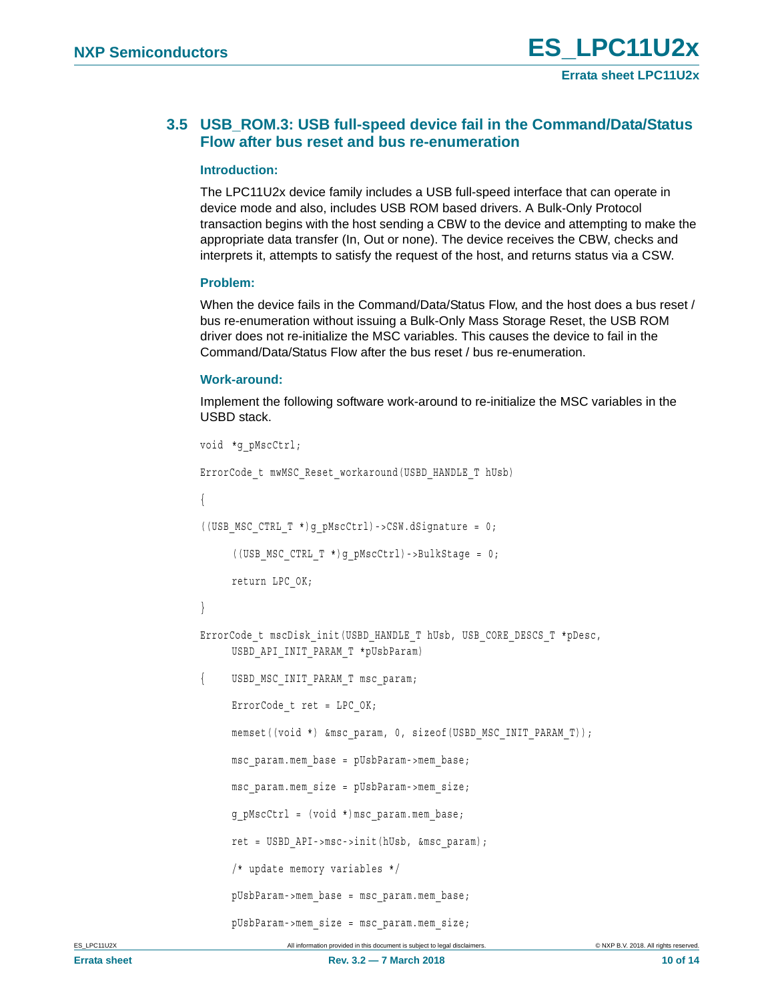### <span id="page-9-0"></span>**3.5 USB\_ROM.3: USB full-speed device fail in the Command/Data/Status Flow after bus reset and bus re-enumeration**

#### **Introduction:**

The LPC11U2x device family includes a USB full-speed interface that can operate in device mode and also, includes USB ROM based drivers. A Bulk-Only Protocol transaction begins with the host sending a CBW to the device and attempting to make the appropriate data transfer (In, Out or none). The device receives the CBW, checks and interprets it, attempts to satisfy the request of the host, and returns status via a CSW.

#### **Problem:**

When the device fails in the Command/Data/Status Flow, and the host does a bus reset / bus re-enumeration without issuing a Bulk-Only Mass Storage Reset, the USB ROM driver does not re-initialize the MSC variables. This causes the device to fail in the Command/Data/Status Flow after the bus reset / bus re-enumeration.

#### **Work-around:**

Implement the following software work-around to re-initialize the MSC variables in the USBD stack.

```
void *g_pMscCtrl;
ErrorCode_t mwMSC_Reset_workaround(USBD_HANDLE_T hUsb)
{
((UBB MSC CTRL T<sup>*</sup>)g pMscCtrl) -&gt;CSW.dSignature = 0;((USB_MSC_CTRL_T *)g_pMscCtrl)->BulkStage = 0;
     return LPC_OK;
}
ErrorCode_t_mscDisk_init(USBD_HANDLE_T_hUsb,_USB_CORE_DESCS_T_*pDesc,
     USBD_API_INIT_PARAM_T *pUsbParam)
{ USBD_MSC_INIT_PARAM_T msc_param;
     ErrorCode t ret = LPC OK;
     memset((void *) &msc_param, 0, sizeof(USBD_MSC_INIT_PARAM_T));
     msc_param.mem_base = pUsbParam->mem_base;
     msc_param.mem_size = pUsbParam->mem_size;
     g_pMscCtrl = (void *)msc_param.mem_base;
     ret = USBD_API->msc->init(hUsb, &msc_param);
     /* update memory variables */
     pUsbParam->mem_base = msc_param.mem_base;
     pUsbParam->mem_size = msc_param.mem_size;
```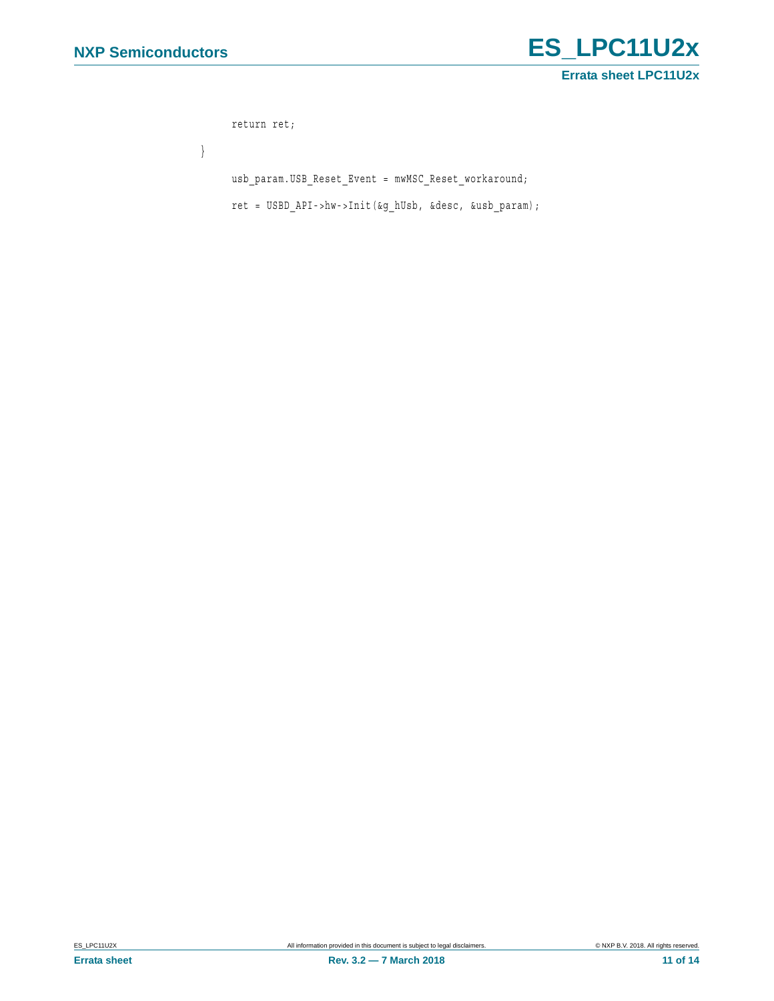

```
return ret;
}
     usb_param.USB_Reset_Event = mwMSC_Reset_workaround;
     ret = USBD_API->hw->Init(&g_hUsb, &desc, &usb_param);
```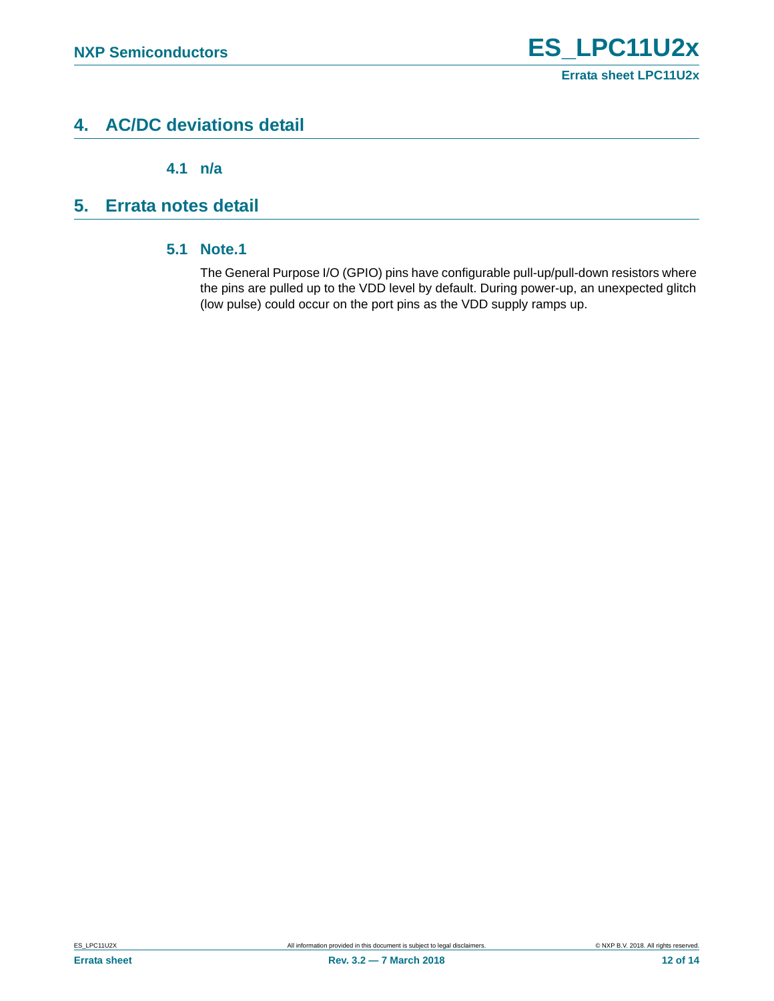# <span id="page-11-1"></span>**4. AC/DC deviations detail**

**4.1 n/a**

# <span id="page-11-3"></span><span id="page-11-2"></span><span id="page-11-0"></span>**5. Errata notes detail**

### **5.1 Note.1**

The General Purpose I/O (GPIO) pins have configurable pull-up/pull-down resistors where the pins are pulled up to the VDD level by default. During power-up, an unexpected glitch (low pulse) could occur on the port pins as the VDD supply ramps up.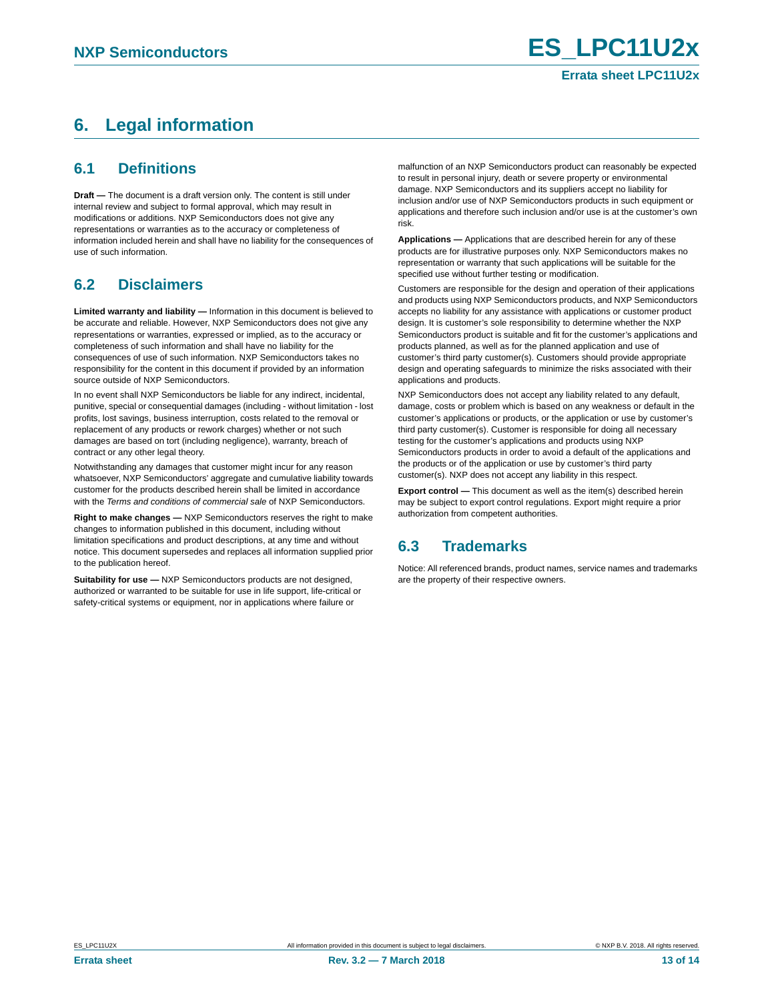# <span id="page-12-0"></span>**6. Legal information**

### <span id="page-12-1"></span>**6.1 Definitions**

**Draft —** The document is a draft version only. The content is still under internal review and subject to formal approval, which may result in modifications or additions. NXP Semiconductors does not give any representations or warranties as to the accuracy or completeness of information included herein and shall have no liability for the consequences of use of such information.

## <span id="page-12-2"></span>**6.2 Disclaimers**

**Limited warranty and liability —** Information in this document is believed to be accurate and reliable. However, NXP Semiconductors does not give any representations or warranties, expressed or implied, as to the accuracy or completeness of such information and shall have no liability for the consequences of use of such information. NXP Semiconductors takes no responsibility for the content in this document if provided by an information source outside of NXP Semiconductors.

In no event shall NXP Semiconductors be liable for any indirect, incidental, punitive, special or consequential damages (including - without limitation - lost profits, lost savings, business interruption, costs related to the removal or replacement of any products or rework charges) whether or not such damages are based on tort (including negligence), warranty, breach of contract or any other legal theory.

Notwithstanding any damages that customer might incur for any reason whatsoever, NXP Semiconductors' aggregate and cumulative liability towards customer for the products described herein shall be limited in accordance with the *Terms and conditions of commercial sale* of NXP Semiconductors.

**Right to make changes —** NXP Semiconductors reserves the right to make changes to information published in this document, including without limitation specifications and product descriptions, at any time and without notice. This document supersedes and replaces all information supplied prior to the publication hereof.

**Suitability for use —** NXP Semiconductors products are not designed, authorized or warranted to be suitable for use in life support, life-critical or safety-critical systems or equipment, nor in applications where failure or

malfunction of an NXP Semiconductors product can reasonably be expected to result in personal injury, death or severe property or environmental damage. NXP Semiconductors and its suppliers accept no liability for inclusion and/or use of NXP Semiconductors products in such equipment or applications and therefore such inclusion and/or use is at the customer's own risk.

**Applications —** Applications that are described herein for any of these products are for illustrative purposes only. NXP Semiconductors makes no representation or warranty that such applications will be suitable for the specified use without further testing or modification.

Customers are responsible for the design and operation of their applications and products using NXP Semiconductors products, and NXP Semiconductors accepts no liability for any assistance with applications or customer product design. It is customer's sole responsibility to determine whether the NXP Semiconductors product is suitable and fit for the customer's applications and products planned, as well as for the planned application and use of customer's third party customer(s). Customers should provide appropriate design and operating safeguards to minimize the risks associated with their applications and products.

NXP Semiconductors does not accept any liability related to any default, damage, costs or problem which is based on any weakness or default in the customer's applications or products, or the application or use by customer's third party customer(s). Customer is responsible for doing all necessary testing for the customer's applications and products using NXP Semiconductors products in order to avoid a default of the applications and the products or of the application or use by customer's third party customer(s). NXP does not accept any liability in this respect.

**Export control —** This document as well as the item(s) described herein may be subject to export control regulations. Export might require a prior authorization from competent authorities.

### <span id="page-12-3"></span>**6.3 Trademarks**

Notice: All referenced brands, product names, service names and trademarks are the property of their respective owners.